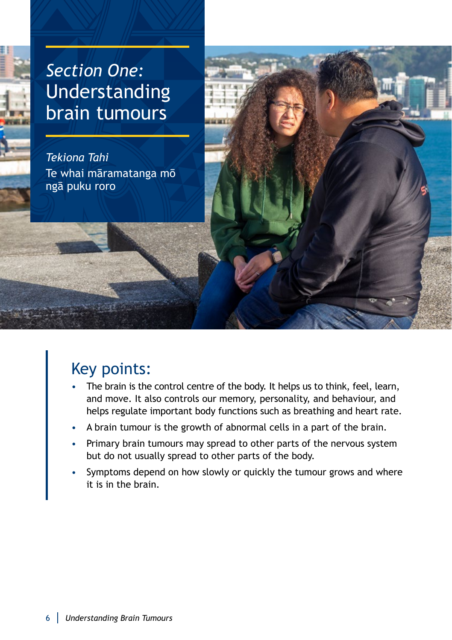# *Section One:* Understanding brain tumours

*Tekiona Tahi* Te whai māramatanga mō ngā puku roro

## Key points:

- The brain is the control centre of the body. It helps us to think, feel, learn, and move. It also controls our memory, personality, and behaviour, and helps regulate important body functions such as breathing and heart rate.
- A brain tumour is the growth of abnormal cells in a part of the brain.
- Primary brain tumours may spread to other parts of the nervous system but do not usually spread to other parts of the body.
- Symptoms depend on how slowly or quickly the tumour grows and where it is in the brain.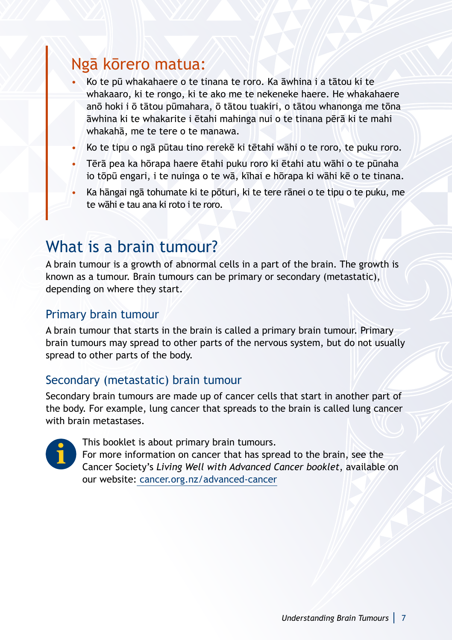### Ngā kōrero matua:

- Ko te pū whakahaere o te tinana te roro. Ka āwhina i a tātou ki te whakaaro, ki te rongo, ki te ako me te nekeneke haere. He whakahaere anō hoki i ō tātou pūmahara, ō tātou tuakiri, o tātou whanonga me tōna āwhina ki te whakarite i ētahi mahinga nui o te tinana pērā ki te mahi whakahā, me te tere o te manawa.
- Ko te tipu o ngā pūtau tino rerekē ki tētahi wāhi o te roro, te puku roro.
- Tērā pea ka hōrapa haere ētahi puku roro ki ētahi atu wāhi o te pūnaha io tōpū engari, i te nuinga o te wā, kīhai e hōrapa ki wāhi kē o te tinana.
- Ka hāngai ngā tohumate ki te pōturi, ki te tere rānei o te tipu o te puku, me te wāhi e tau ana ki roto i te roro.

### What is a brain tumour?

A brain tumour is a growth of abnormal cells in a part of the brain. The growth is known as a tumour. Brain tumours can be primary or secondary (metastatic), depending on where they start.

#### Primary brain tumour

A brain tumour that starts in the brain is called a primary brain tumour. Primary brain tumours may spread to other parts of the nervous system, but do not usually spread to other parts of the body.

#### Secondary (metastatic) brain tumour

Secondary brain tumours are made up of cancer cells that start in another part of the body. For example, lung cancer that spreads to the brain is called lung cancer with brain metastases.



This booklet is about primary brain tumours.

For more information on cancer that has spread to the brain, see the Cancer Society's *Living Well with Advanced Cancer booklet*, available on our website: [cancer.org.nz/advanced-cancer](http://cancer.org.nz/advanced-cancer)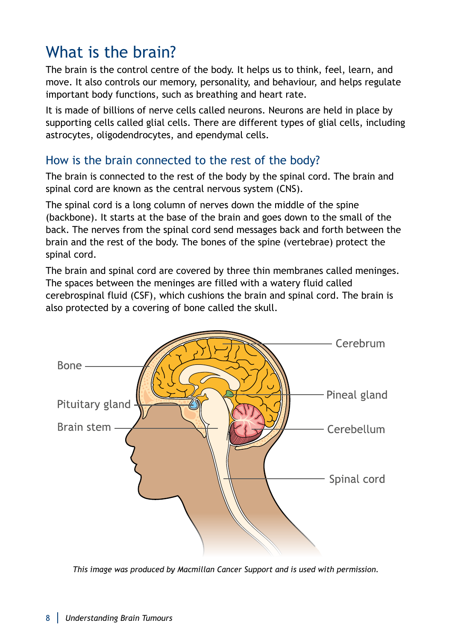## What is the brain?

The brain is the control centre of the body. It helps us to think, feel, learn, and move. It also controls our memory, personality, and behaviour, and helps regulate important body functions, such as breathing and heart rate.

It is made of billions of nerve cells called neurons. Neurons are held in place by supporting cells called glial cells. There are different types of glial cells, including astrocytes, oligodendrocytes, and ependymal cells.

#### How is the brain connected to the rest of the body?

The brain is connected to the rest of the body by the spinal cord. The brain and spinal cord are known as the central nervous system (CNS).

The spinal cord is a long column of nerves down the middle of the spine (backbone). It starts at the base of the brain and goes down to the small of the back. The nerves from the spinal cord send messages back and forth between the brain and the rest of the body. The bones of the spine (vertebrae) protect the spinal cord.

The brain and spinal cord are covered by three thin membranes called meninges. The spaces between the meninges are filled with a watery fluid called cerebrospinal fluid (CSF), which cushions the brain and spinal cord. The brain is also protected by a covering of bone called the skull.



*This image was produced by Macmillan Cancer Support and is used with permission.*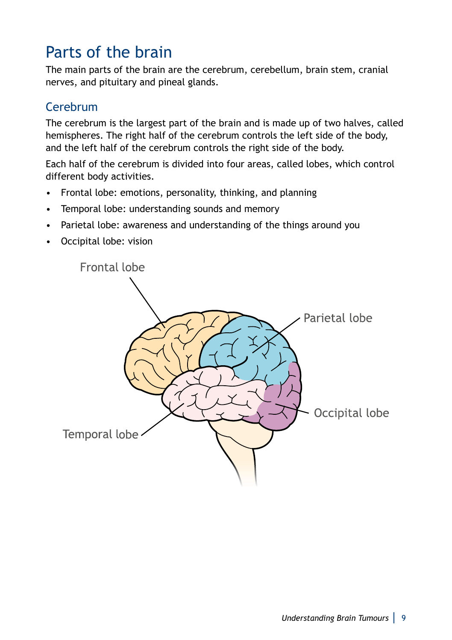## Parts of the brain

The main parts of the brain are the cerebrum, cerebellum, brain stem, cranial nerves, and pituitary and pineal glands.

### Cerebrum

The cerebrum is the largest part of the brain and is made up of two halves, called hemispheres. The right half of the cerebrum controls the left side of the body, and the left half of the cerebrum controls the right side of the body.

Each half of the cerebrum is divided into four areas, called lobes, which control different body activities.

- Frontal lobe: emotions, personality, thinking, and planning
- Temporal lobe: understanding sounds and memory
- Parietal lobe: awareness and understanding of the things around you
- Occipital lobe: vision

Frontal lobe

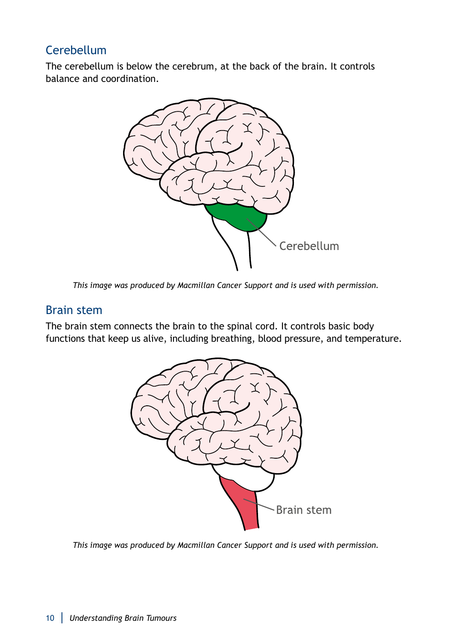### **Cerebellum**

The cerebellum is below the cerebrum, at the back of the brain. It controls balance and coordination.



*This image was produced by Macmillan Cancer Support and is used with permission.*

#### Brain stem

The brain stem connects the brain to the spinal cord. It controls basic body functions that keep us alive, including breathing, blood pressure, and temperature.



*This image was produced by Macmillan Cancer Support and is used with permission.*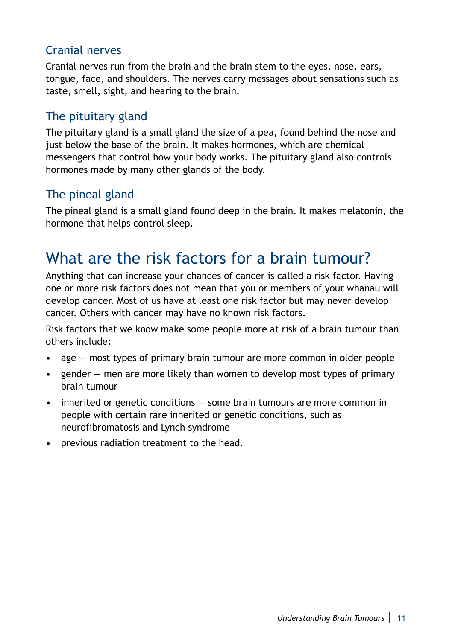### Cranial nerves

Cranial nerves run from the brain and the brain stem to the eyes, nose, ears, tongue, face, and shoulders. The nerves carry messages about sensations such as taste, smell, sight, and hearing to the brain.

### The pituitary gland

The pituitary gland is a small gland the size of a pea, found behind the nose and just below the base of the brain. It makes hormones, which are chemical messengers that control how your body works. The pituitary gland also controls hormones made by many other glands of the body.

#### The pineal gland

The pineal gland is a small gland found deep in the brain. It makes melatonin, the hormone that helps control sleep.

### What are the risk factors for a brain tumour?

Anything that can increase your chances of cancer is called a risk factor. Having one or more risk factors does not mean that you or members of your whānau will develop cancer. Most of us have at least one risk factor but may never develop cancer. Others with cancer may have no known risk factors.

Risk factors that we know make some people more at risk of a brain tumour than others include:

- age most types of primary brain tumour are more common in older people
- gender men are more likely than women to develop most types of primary brain tumour
- inherited or genetic conditions some brain tumours are more common in people with certain rare inherited or genetic conditions, such as neurofibromatosis and Lynch syndrome
- previous radiation treatment to the head.